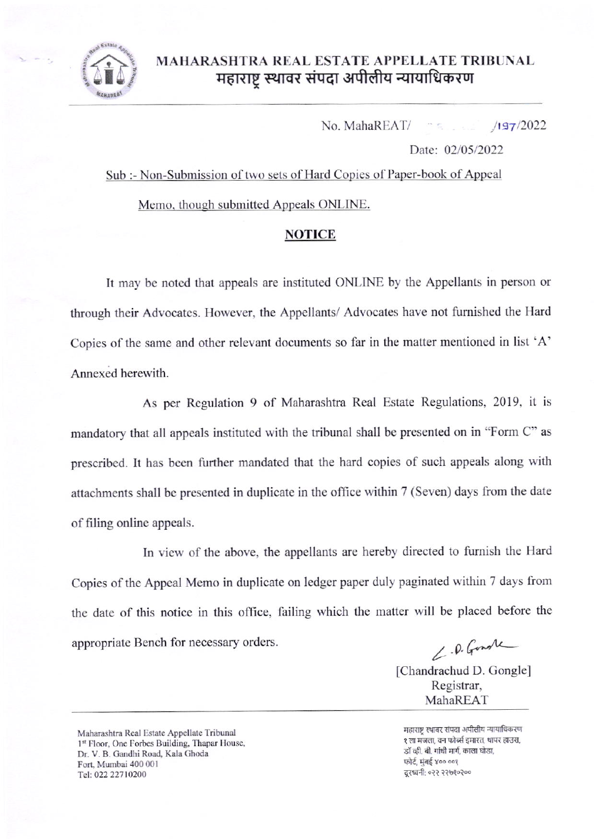

## MAHARASHTRA REAL ESTATE APPELLATE TRIBUNAL महाराष्ट्र स्थावर संपदा अपीलीय न्यायाधिकरण

No. Maha $REAT/$  $/197/2022$ 

Date: 02/05/2022

Sub :- Non-Submission of two sets of Hard Copies of Paper-book of Appeal Memo, though submitted Appeals ONLINE.

## **NOTICE**

It may be noted that appeals are instituted ONLINE by the Appellants in person or through their Advocates. However, the Appellants/ Advocates have not furnished the Hard Copies of the same and other relevant documents so far in the matter mentioned in list 'A' Annexed herewith.

As per Regulation 9 of Maharashtra Real Estate Regulations, 2019, it is mandatory that all appeals instituted with the tribunal shall be presented on in "Form C" as prescribed. It has been further mandated that the hard copies of such appeals along with attachments shall be presented in duplicate in the office within 7 (Seven) days from the date of filing online appeals.

In view of the above, the appellants are hereby directed to furnish the Hard Copies of the Appeal Memo in duplicate on ledger paper duly paginated within 7 days from the date of this notice in this office, failing which the matter will be placed before the appropriate Bench for necessary orders.

L. D. Gomake

[Chandrachud D. Gongle] Registrar, MahaREAT

Maharashtra Real Estate Appellate Tribunal 1st Floor, One Forbes Building, Thapar House, Dr. V. B. Gandhi Road, Kala Ghoda Fort, Mumbai 400 001 Tel: 022 22710200

महाराष्ट्र स्थावर संपदा अपीलीय न्यायाधिकरण १ ला मजला, वन फोर्ब्स इमारत, थापर हाउस, डॉ व्ही, बी. गांधी मार्ग, काला घोडा, फोर्ट, मंबई ४०० ००१ दूरध्वनी: ०२२ २२७१०२००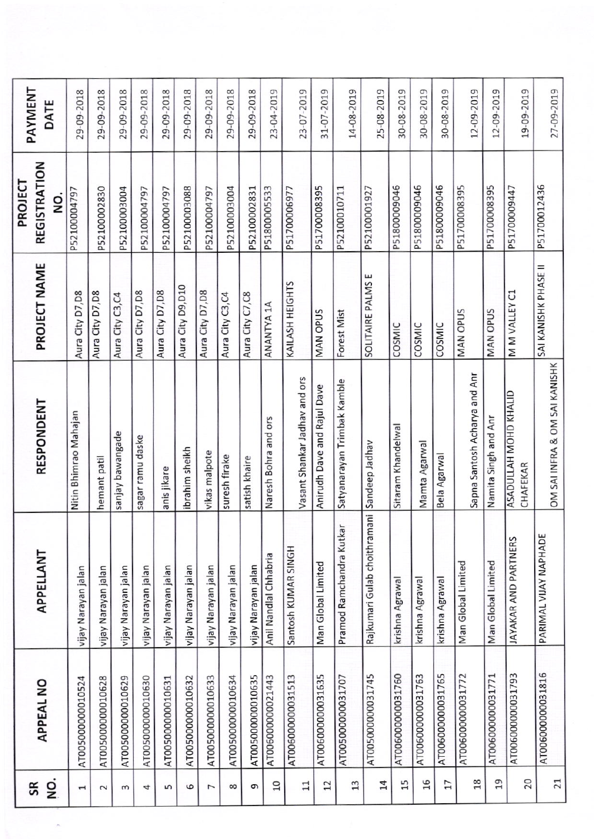| SR             | <b>APPEAL NO</b>  | APPELLANT                                   | RESPONDENT                        | PROJECT NAME         | REGISTRATION<br>PROJECT | PAYMENT<br>DATE |
|----------------|-------------------|---------------------------------------------|-----------------------------------|----------------------|-------------------------|-----------------|
| g              |                   |                                             |                                   |                      | g                       |                 |
| 1              | AT005000000010524 | vijay Narayan jalan                         | Nitin Bhimrao Mahajan             | Aura City D7,D8      | P52100004797            | 29-09-2018      |
| $\sim$         | AT005000000010628 | vijay Narayan jalan                         | hemant patil                      | Aura City D7,D8      | P52100002830            | 29-09-2018      |
| $\epsilon$     | AT005000000010629 | vijay Narayan jalan                         | sanjay bawangade                  | Aura City C3, C4     | P52100003004            | 29-09-2018      |
| 4              | AT005000000010630 | vijay Narayan jalan                         | sagar ramu daske                  | Aura City D7, D8     | P52100004797            | 29-09-2018      |
| 5              | AT005000000010631 | vijay Narayan jalan                         | anis jikare                       | Aura City D7,D8      | P52100004797            | 29-09-2018      |
| 6              | AT005000000010632 | vijay Narayan jalan                         | ibrahim sheikh                    | Aura City D9, D10    | P52100003088            | 29-09-2018      |
| ſ              | AT005000000010633 | vijay Narayan jalan                         | vikas malpote                     | Aura City D7,D8      | P52100004797            | 29-09-2018      |
| $\infty$       | AT005000000010634 | vijay Narayan jalan                         | suresh firake                     | Aura City C3, C4     | P52100003004            | 29-09-2018      |
| G              | AT005000000010635 | vijay Narayan jalan                         | satish khaire                     | Aura City C7,C8      | P52100002831            | 29-09-2018      |
| $\overline{a}$ | AT00600000021443  | Anil Nandlal Chhabria                       | Naresh Bohra and ors              | <b>ANANTYA 1A</b>    | P51800005533            | 23-04-2019      |
| $\mathbf{1}$   | AT006000000031513 | Santosh KUMAR SINGH                         | Vasant Shankar Jadhav and ors     | KAILASH HEIGHTS      | P51700006977            | 23-07-2019      |
| 12             | AT00600000031635  | Man Global Limited                          | Anirudh Dave and Rajul Dave       | MAN OPUS             | P51700008395            | 31-07-2019      |
| 13             | AT005000000031707 | Pramod Ramchandra Kutka                     | Satyanarayan Trimbak Kamble       | Forest Mist          | P52100010711            | 14-08-2019      |
| 14             | AT005000000031745 | Rajkumari Gulab choithramani Sandeep Jadhav |                                   | SOLITAIRE PALMS E    | P52100001927            | 25-08-2019      |
| 15             | AT00600000031760  | krishna Agrawal                             | Sitaram Khandelwal                | COSMIC               | P51800009046            | 30-08-2019      |
| 16             | AT006000000031763 | krishna Agrawal                             | Mamta Agarwal                     | COSMIC               | P51800009046            | 30-08-2019      |
| 17             | AT006000000031765 | krishna Agrawal                             | Bela Agarwal                      | COSMIC               | P51800009046            | 30-08-2019      |
| 18             | AT006000000031772 | Man Global Limited                          | Sapna Santosh Acharya and Anr     | MAN OPUS             | P51700008395            | 12-09-2019      |
| 19             | AT006000000031771 | Man Global Limited                          | Namita Singh and Anr              | MAN OPUS             | P51700008395            | 12-09-2019      |
| 20             | AT006000000031793 | JAYAKAR AND PARTNERS                        | ASADULLAH MOHD KHALID<br>CHAFEKAR | M M VALLEY C1        | P51700009447            | 19-09-2019      |
| 21             | AT00600000031816  | PARIMAL VIJAY NAPHADE                       | OM SAI INFRA & OM SAI KANISHK     | SAI KANISHK PHASE II | P51700012436            | 27-09-2019      |